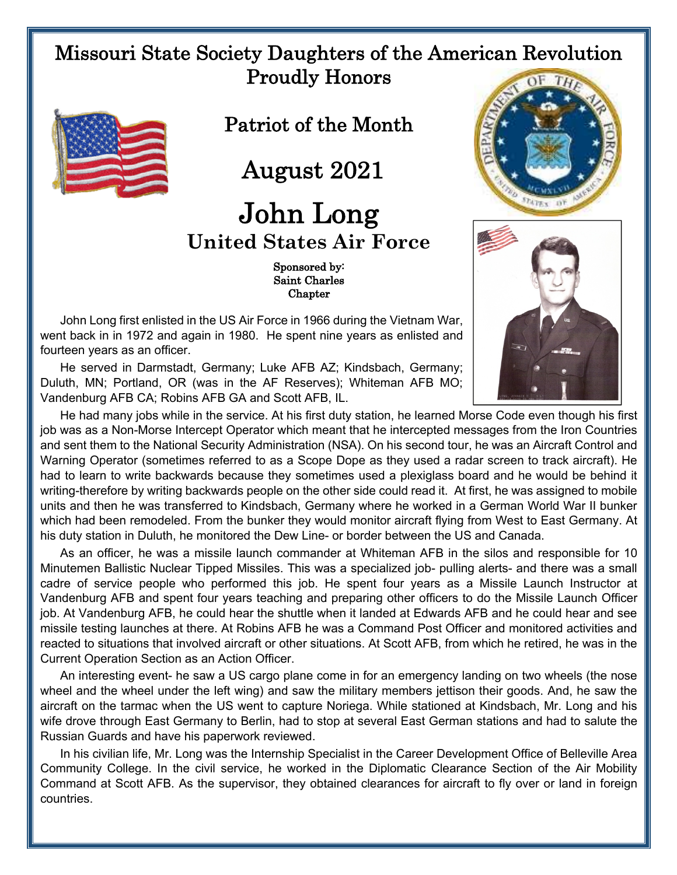## Missouri State Society Daughters of the American Revolution Proudly Honors



Patriot of the Month

August 2021

## John Long **United States Air Force**

 Sponsored by: Saint Charles **Chapter** 

John Long first enlisted in the US Air Force in 1966 during the Vietnam War, went back in in 1972 and again in 1980. He spent nine years as enlisted and fourteen years as an officer.

He served in Darmstadt, Germany; Luke AFB AZ; Kindsbach, Germany; Duluth, MN; Portland, OR (was in the AF Reserves); Whiteman AFB MO; Vandenburg AFB CA; Robins AFB GA and Scott AFB, IL.



He had many jobs while in the service. At his first duty station, he learned Morse Code even though his first job was as a Non-Morse Intercept Operator which meant that he intercepted messages from the Iron Countries and sent them to the National Security Administration (NSA). On his second tour, he was an Aircraft Control and Warning Operator (sometimes referred to as a Scope Dope as they used a radar screen to track aircraft). He had to learn to write backwards because they sometimes used a plexiglass board and he would be behind it writing-therefore by writing backwards people on the other side could read it. At first, he was assigned to mobile units and then he was transferred to Kindsbach, Germany where he worked in a German World War II bunker which had been remodeled. From the bunker they would monitor aircraft flying from West to East Germany. At his duty station in Duluth, he monitored the Dew Line- or border between the US and Canada.

As an officer, he was a missile launch commander at Whiteman AFB in the silos and responsible for 10 Minutemen Ballistic Nuclear Tipped Missiles. This was a specialized job- pulling alerts- and there was a small cadre of service people who performed this job. He spent four years as a Missile Launch Instructor at Vandenburg AFB and spent four years teaching and preparing other officers to do the Missile Launch Officer job. At Vandenburg AFB, he could hear the shuttle when it landed at Edwards AFB and he could hear and see missile testing launches at there. At Robins AFB he was a Command Post Officer and monitored activities and reacted to situations that involved aircraft or other situations. At Scott AFB, from which he retired, he was in the Current Operation Section as an Action Officer.

An interesting event- he saw a US cargo plane come in for an emergency landing on two wheels (the nose wheel and the wheel under the left wing) and saw the military members jettison their goods. And, he saw the aircraft on the tarmac when the US went to capture Noriega. While stationed at Kindsbach, Mr. Long and his wife drove through East Germany to Berlin, had to stop at several East German stations and had to salute the Russian Guards and have his paperwork reviewed.

In his civilian life, Mr. Long was the Internship Specialist in the Career Development Office of Belleville Area Community College. In the civil service, he worked in the Diplomatic Clearance Section of the Air Mobility Command at Scott AFB. As the supervisor, they obtained clearances for aircraft to fly over or land in foreign countries.